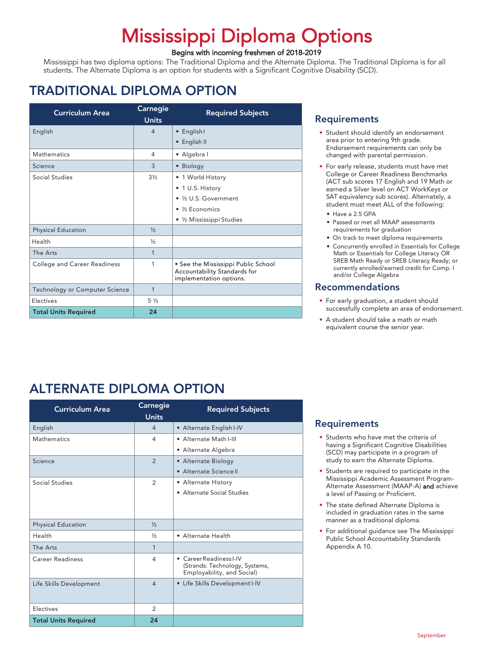# Mississippi Diploma Options<br>Begins with incoming freshmen of 2018-2019

Mississippi has two diploma options: The Traditional Diploma and the Alternate Diploma. The Traditional Diploma is for all students. The Alternate Diploma is an option for students with a Significant Cognitive Disability (SCD).

# TRADITIONAL DIPLOMA OPTION

| <b>Curriculum Area</b>              | <b>Carnegie</b><br><b>Units</b> | <b>Required Subjects</b>                                                                       |
|-------------------------------------|---------------------------------|------------------------------------------------------------------------------------------------|
| English                             | $\overline{4}$                  | • English I                                                                                    |
|                                     |                                 | • English II                                                                                   |
| Mathematics                         | 4                               | • Algebra I                                                                                    |
| Science                             | 3                               | • Biology                                                                                      |
| Social Studies                      | $3\frac{1}{2}$                  | • 1 World History                                                                              |
|                                     |                                 | • 1 U.S. History                                                                               |
|                                     |                                 | • 1/2 U.S. Government                                                                          |
|                                     |                                 | $\bullet$ ½ Economics                                                                          |
|                                     |                                 | • 1/2 Mississippi Studies                                                                      |
| <b>Physical Education</b>           | $\frac{1}{2}$                   |                                                                                                |
| Health                              | $\frac{1}{2}$                   |                                                                                                |
| The Arts                            | 1                               |                                                                                                |
| <b>College and Career Readiness</b> | 1                               | • See the Mississippi Public School<br>Accountability Standards for<br>implementation options. |
| Technology or Computer Science      | $\mathbf{1}$                    |                                                                                                |
| Electives                           | $5\frac{1}{2}$                  |                                                                                                |
| <b>Total Units Required</b>         | 24                              |                                                                                                |

# ALTERNATE DIPLOMA OPTION

| <b>Curriculum Area</b>      | Carnegie<br><b>Units</b> | <b>Required Subjects</b>                                     |
|-----------------------------|--------------------------|--------------------------------------------------------------|
| English                     | $\overline{4}$           | • Alternate English I-IV                                     |
| Mathematics                 | 4                        | • Alternate Math I-III                                       |
|                             |                          | • Alternate Algebra                                          |
| Science                     | 2                        | • Alternate Biology                                          |
|                             |                          | • Alternate Science II                                       |
| Social Studies              | 2                        | • Alternate History                                          |
|                             |                          | • Alternate Social Studies                                   |
|                             |                          |                                                              |
|                             |                          |                                                              |
| <b>Physical Education</b>   | $\frac{1}{2}$            |                                                              |
| Health                      | $\frac{1}{2}$            | • Alternate Health                                           |
| The Arts                    | 1                        |                                                              |
| <b>Career Readiness</b>     | 4                        | • Career Readiness I-IV                                      |
|                             |                          | (Strands: Technology, Systems,<br>Employability, and Social) |
| Life Skills Development     | $\overline{4}$           | • Life Skills Development I-IV                               |
|                             |                          |                                                              |
| Electives                   | 2                        |                                                              |
| <b>Total Units Required</b> | 24                       |                                                              |

### **Requirements**

- Student should identify an endorsement area prior to entering 9th grade. Endorsement requirements can only be changed with parental permission.
- For early release, students must have met College or Career Readiness Benchmarks (ACT sub scores 17 English and 19 Math or earned a Silver level on ACT WorkKeys or SAT equivalency sub scores). Alternately, a student must meet ALL of the following:
	- Have a 2.5 GPA
	- Passed or met all MAAP assessments requirements for graduation
	- On track to meet diploma requirements
	- Concurrently enrolled in Essentials for College Math or Essentials for College Literacy OR SREB Math Ready or SREB Literacy Ready; or currently enrolled/earned credit for Comp. I and/or College Algebra

# Recommendations

- For early graduation, a student should successfully complete an area of endorsement.
- A student should take a math or math equivalent course the senior year.

#### Requirements

- Students who have met the criteria of having a Significant Cognitive Disabilities (SCD) may participate in a program of study to earn the Alternate Diploma.
- Students are required to participate in the Mississippi Academic Assessment Program-Alternate Assessment (MAAP-A) and achieve a level of Passing or Proficient.
- The state defined Alternate Diploma is included in graduation rates in the same manner as a traditional diploma.
- For additional guidance see The Mississippi Public School Accountability Standards Appendix A 10.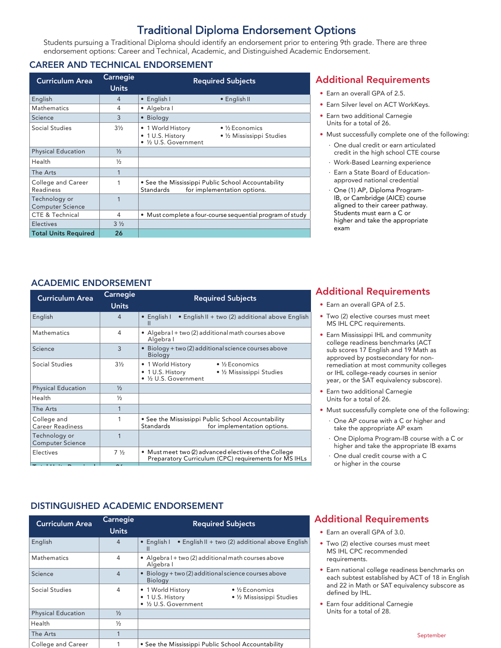# Traditional Diploma Endorsement Options

Students pursuing a Traditional Diploma should identify an endorsement prior to entering 9th grade. There are three endorsement options: Career and Technical, Academic, and Distinguished Academic Endorsement.

#### CAREER AND TECHNICAL ENDORSEMENT

| <b>Curriculum Area</b>                   | Carnegie<br><b>Units</b> | <b>Required Subjects</b>                                                                                             |
|------------------------------------------|--------------------------|----------------------------------------------------------------------------------------------------------------------|
| English                                  | 4                        | • English I<br>• English II                                                                                          |
| <b>Mathematics</b>                       | 4                        | • Algebra I                                                                                                          |
| Science                                  | 3                        | • Biology                                                                                                            |
| Social Studies                           | $3\frac{1}{2}$           | • 1 World History<br>$\bullet$ ½ Economics<br>• 1 U.S. History<br>• 1/2 Mississippi Studies<br>• 1/2 U.S. Government |
| <b>Physical Education</b>                | $\frac{1}{2}$            |                                                                                                                      |
| Health                                   | $\frac{1}{2}$            |                                                                                                                      |
| The Arts                                 | 1                        |                                                                                                                      |
| College and Career<br>Readiness          |                          | • See the Mississippi Public School Accountability<br><b>Standards</b><br>for implementation options.                |
| Technology or<br><b>Computer Science</b> |                          |                                                                                                                      |
| CTE & Technical                          | 4                        | • Must complete a four-course sequential program of study                                                            |
| Electives                                | $3\frac{1}{2}$           |                                                                                                                      |
| <b>Total Units Required</b>              | 26                       |                                                                                                                      |

# Additional Requirements

- Earn an overall GPA of 2.5.
- Earn Silver level on ACT WorkKeys.
- Earn two additional Carnegie Units for a total of 26.
- Must successfully complete one of the following:
- · One dual credit or earn articulated credit in the high school CTE course
	- · Work-Based Learning experience
	- · Earn a State Board of Educationapproved national credential
	- · One (1) AP, Diploma Program-IB, or Cambridge (AICE) course aligned to their career pathway. Students must earn a C or higher and take the appropriate exam

# ACADEMIC ENDORSEMENT

| <b>Curriculum Area</b>                   | Carnegie<br><b>Units</b> | <b>Required Subjects</b>                                                                                                     |
|------------------------------------------|--------------------------|------------------------------------------------------------------------------------------------------------------------------|
| English                                  | 4                        | • English I<br>• English II + two (2) additional above English<br>Ш                                                          |
| <b>Mathematics</b>                       | 4                        | • Algebra I + two (2) additional math courses above<br>Algebra I                                                             |
| Science                                  | 3                        | • Biology + two (2) additional science courses above<br><b>Biology</b>                                                       |
| Social Studies                           | $3\frac{1}{2}$           | • 1 World History<br>$\bullet$ ½ Economics<br>$\bullet$ 1 U.S. History<br>• 1/2 Mississippi Studies<br>• 1/2 U.S. Government |
| <b>Physical Education</b>                | $\frac{1}{2}$            |                                                                                                                              |
| Health                                   | $\frac{1}{2}$            |                                                                                                                              |
| The Arts                                 | 1                        |                                                                                                                              |
| College and<br><b>Career Readiness</b>   |                          | • See the Mississippi Public School Accountability<br>Standards<br>for implementation options.                               |
| Technology or<br><b>Computer Science</b> |                          |                                                                                                                              |
| Electives                                | $7\frac{1}{2}$           | • Must meet two (2) advanced electives of the College<br>Preparatory Curriculum (CPC) requirements for MS IHLs               |
|                                          |                          |                                                                                                                              |

# Additional Requirements

- Earn an overall GPA of 2.5.
- Two (2) elective courses must meet MS IHL CPC requirements.
- Earn Mississippi IHL and community college readiness benchmarks (ACT sub scores 17 English and 19 Math as approved by postsecondary for nonremediation at most community colleges or IHL college-ready courses in senior year, or the SAT equivalency subscore).
- Earn two additional Carnegie Units for a total of 26.
- Must successfully complete one of the following:
	- · One AP course with a C or higher and take the appropriate AP exam
	- · One Diploma Program-IB course with a C or higher and take the appropriate IB exams
	- One dual credit course with a C or higher in the course

# DISTINGUISHED ACADEMIC ENDORSEMENT

| <b>Curriculum Area</b>    | Carnegie<br><b>Units</b> | <b>Required Subjects</b>                                                                                                |
|---------------------------|--------------------------|-------------------------------------------------------------------------------------------------------------------------|
| English                   | $\overline{4}$           | • English I<br>• English II + two (2) additional above English<br>Ш                                                     |
| <b>Mathematics</b>        | 4                        | • Algebra I + two (2) additional math courses above<br>Algebra I                                                        |
| Science                   | 4                        | Biology + two (2) additional science courses above<br><b>Biology</b>                                                    |
| Social Studies            | 4                        | 1 World History<br>$\bullet$ ½ Economics<br>٠<br>• 1 U.S. History<br>• 1/2 Mississippi Studies<br>• 1/2 U.S. Government |
| <b>Physical Education</b> | $\frac{1}{2}$            |                                                                                                                         |
| Health                    | $\frac{1}{2}$            |                                                                                                                         |
| The Arts                  |                          |                                                                                                                         |
| College and Career        |                          | • See the Mississippi Public School Accountability                                                                      |

# Additional Requirements

- Earn an overall GPA of 3.0.
- Two (2) elective courses must meet MS IHL CPC recommended requirements.
- Earn national college readiness benchmarks on each subtest established by ACT of 18 in English and 22 in Math or SAT equivalency subscore as defined by IHL.
- Earn four additional Carnegie Units for a total of 28.